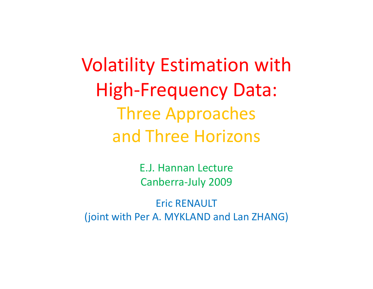Volatility Estimation with High‐Frequency Data: Three Approaches and Three Horizons

> E.J. Hannan LectureCanberra‐July 2009

Eric RENAULT(joint with Per A. MYKLAND and Lan ZHANG)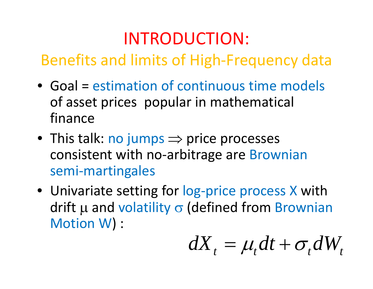### INTRODUCTION:

Benefits and limits of High‐Frequency data

- Goal <sup>=</sup> estimation of continuous time models of asset prices popular in mathematical finance
- This talk: no jumps  $\Rightarrow$  price processes consistent with no‐arbitrage are Brownian semi‐martingales
- Univariate setting for log-price process X with drift  $\mu$  and volatility  $\sigma$  (defined from Brownian Motion W) :

$$
dX_t = \mu_t dt + \sigma_t dW_t
$$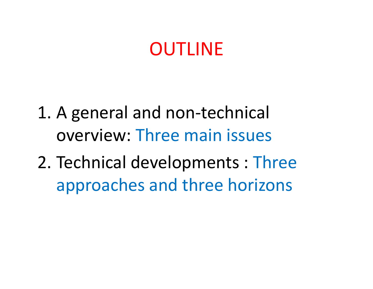### OUTLINE

- 1. A general and non‐technical overview: Three main issues
- 2. Technical developments : Three approaches and three horizons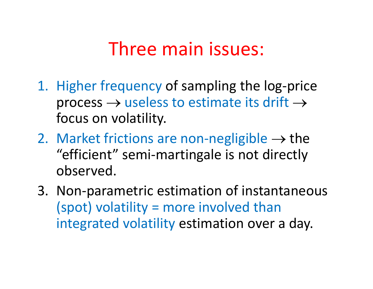### Three main issues:

- 1. Higher frequency of sampling the log‐price process  $\rightarrow$  useless to estimate its drift  $\rightarrow$ focus on volatility.
- 2. Market frictions are non-negligible  $\rightarrow$  the "efficient" semi‐martingale is not directly observed.
- 3. Non‐parametric estimation of instantaneous (spot) volatility <sup>=</sup> more involved than integrated volatility estimation over <sup>a</sup> day.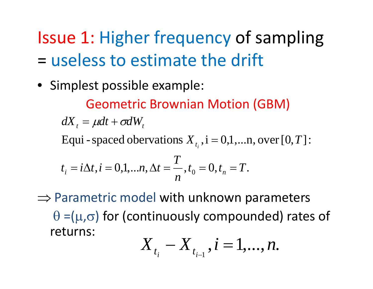Issue 1: Higher frequency of sampling = useless to estimate the drift

• Simplest possible example:

Geometric Brownian Motion (GBM)

 $dX_{_t} = \mu dt + \sigma dW_{_t}$ 

Equi - spaced obervations  $X_{t_i}$ ,  $i = 0,1,...n$ , over [0, *T*]: =

$$
t_i = i\Delta t, i = 0,1,...n, \Delta t = \frac{T}{n}, t_0 = 0, t_n = T.
$$

 $\Rightarrow$  Parametric model with unknown parameters  $\theta$  =( $\mu$ , $\sigma$ ) for (continuously compounded) rates of returns:

$$
X_{_{t_{i}}}-X_{_{t_{i-1}}}, i=1,...,n.
$$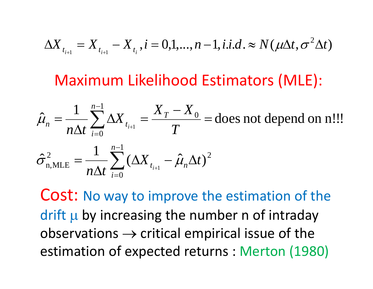$$
\Delta X_{t_{i+1}} = X_{t_{i+1}} - X_{t_i}, i = 0,1,...,n-1, i.i.d. \approx N(\mu \Delta t, \sigma^2 \Delta t)
$$

#### Maximum Likelihood Estimators (MLE):

$$
\hat{\mu}_n = \frac{1}{n\Delta t} \sum_{i=0}^{n-1} \Delta X_{t_{i+1}} = \frac{X_T - X_0}{T} = \text{does not depend on n}...
$$

$$
\hat{\sigma}_{n,\text{MLE}}^2 = \frac{1}{n\Delta t} \sum_{i=0}^{n-1} (\Delta X_{t_{i+1}} - \hat{\mu}_n \Delta t)^2
$$

Cost: No way to improve the estimation of the drift  $\mu$  by increasing the number n of intraday  $\mathsf{observations} \to \mathsf{critical}$  empirical issue of the estimation of expected returns : Merton (1980)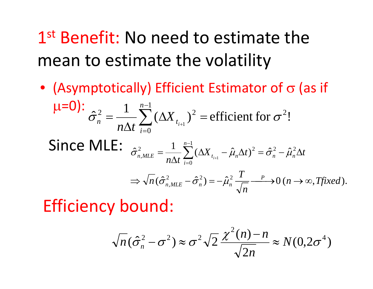1st Benefit: No need to estimate the mean to estimate the volatility

• (Asymptotically) Efficient Estimator of  $\sigma$  (as if  $\mu$ =0):  $\hat{\sigma}_n^2 = \frac{1}{n \Delta t} \sum_{i=1}^{n-1} (\Delta X_{t_{i+1}})^2$  = efficient for  $\sigma^2$ !  $\hat{\sigma}_n^2 = \frac{1}{n\Delta t} \sum_{i=0}^{n-1} (\Delta X_{t_{i+1}})^2 = \text{efficient for } \sigma$ 

Since MLE: 
$$
\hat{\sigma}_{n,MLE}^2 = \frac{1}{n\Delta t} \sum_{i=0}^{n-1} (\Delta X_{t_{i+1}} - \hat{\mu}_n \Delta t)^2 = \hat{\sigma}_n^2 - \hat{\mu}_n^2 \Delta t
$$

$$
\Rightarrow \sqrt{n} (\hat{\sigma}_{n,MLE}^2 - \hat{\sigma}_n^2) = -\hat{\mu}_n^2 \frac{T}{\sqrt{n}} \xrightarrow{P} 0 \ (n \to \infty, T \text{ fixed}).
$$

Efficiency bound:

$$
\sqrt{n}(\hat{\sigma}_n^2 - \sigma^2) \approx \sigma^2 \sqrt{2} \frac{\chi^2(n) - n}{\sqrt{2n}} \approx N(0.2\sigma^4)
$$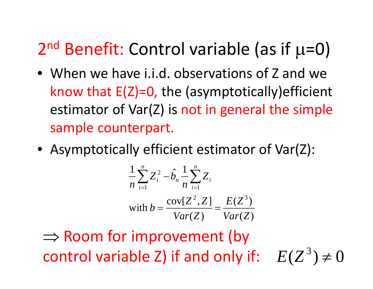### 2<sup>nd</sup> Benefit: Control variable (as if μ=0)

- When we have i.i.d. observations of Z and we know that E(Z)=0, the (asymptotically)efficient estimator of Var(Z) is not in general the simple sample counterpart.
- Asymptotically efficient estimator of Var(Z):

$$
\frac{1}{n}\sum_{i=1}^{n}Z_i^2 - \hat{b}_n \frac{1}{n}\sum_{i=1}^{n}Z_i
$$
  
with 
$$
b = \frac{\text{cov}[Z^2, Z]}{\text{Var}(Z)} = \frac{E(Z^3)}{\text{Var}(Z)}
$$

 $\Rightarrow$  Room for improvement (by control variable Z) if and only if:  $E(Z^3) \neq 0$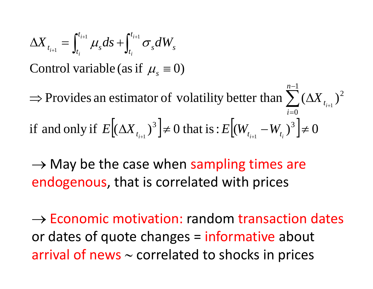$$
\Delta X_{t_{i+1}} = \int_{t_i}^{t_{i+1}} \mu_s ds + \int_{t_i}^{t_{i+1}} \sigma_s dW_s
$$
  
Control variable (as if  $\mu_s \equiv 0$ )  
 $\Rightarrow$  Provides an estimator of volatility better than  $\sum_{i=0}^{n-1} (\Delta X_{t_{i+1}})^2$   
if and only if  $E[(\Delta X_{t_{i+1}})^3] \neq 0$  that is:  $E[(W_{t_{i+1}} - W_{t_i})^3] \neq 0$ 

 $\rightarrow$  May be the case when sampling times are endogenous, that is correlated with prices

 $\rightarrow$  Economic motivation: random transaction dates or dates of quote changes = informative about arrival of news <sup>∼</sup> correlated to shocks in prices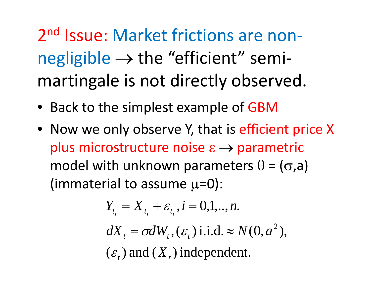2<sup>nd</sup> Issue: Market frictions are nonnegligible  $\rightarrow$  the "efficient" semimartingale is not directly observed.

- Back to the simplest example of GBM
- Now we only observe Y, that is efficient price X plus microstructure noise  $\varepsilon \rightarrow$  parametric model with unknown parameters  $\theta$  = ( $\sigma$ ,a) (immaterial to assume  $\mu$ =0):

$$
Y_{t_i} = X_{t_i} + \varepsilon_{t_i}, i = 0, 1, \dots, n.
$$
  
\n
$$
dX_t = \sigma dW_t, (\varepsilon_t) \text{ i.i.d.} \approx N(0, a^2),
$$
  
\n
$$
(\varepsilon_t) \text{ and } (X_t) \text{ independent.}
$$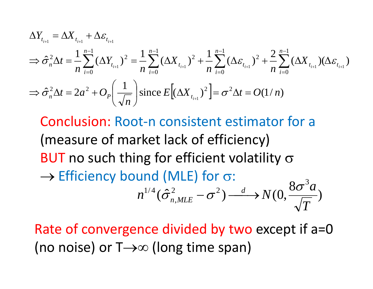$$
\Delta Y_{t_{i+1}} = \Delta X_{t_{i+1}} + \Delta \varepsilon_{t_{i+1}}
$$
\n
$$
\Rightarrow \hat{\sigma}_n^2 \Delta t = \frac{1}{n} \sum_{i=0}^{n-1} (\Delta Y_{t_{i+1}})^2 = \frac{1}{n} \sum_{i=0}^{n-1} (\Delta X_{t_{i+1}})^2 + \frac{1}{n} \sum_{i=0}^{n-1} (\Delta \varepsilon_{t_{i+1}})^2 + \frac{2}{n} \sum_{i=0}^{n-1} (\Delta X_{t_{i+1}}) (\Delta \varepsilon_{t_{i+1}})
$$
\n
$$
\Rightarrow \hat{\sigma}_n^2 \Delta t = 2a^2 + O_P\left(\frac{1}{\sqrt{n}}\right) \text{since } E\left[ (\Delta X_{t_{i+1}})^2 \right] = \sigma^2 \Delta t = O(1/n)
$$

Conclusion: Root‐n consistent estimator for <sup>a</sup> (measure of market lack of efficiency) BUT no such thing for efficient volatility  $\sigma$  $\rightarrow$  Efficiency bound (MLE) for  $\sigma$ :  $n^{1/4}$   $(\hat{\sigma}_{nMLE}^2 - \sigma^2)$   $\longrightarrow N(0, \frac{8\sigma^3 a}{\sqrt{m}})$  $(\hat{\sigma}_{n,MLE}^2 - \sigma^2) \stackrel{d}{\longrightarrow} N(0, \frac{8\sigma^2}{\sqrt{T}})$ 

Rate of convergence divided by two except if a=0 (no noise) or T→∞ (long time span)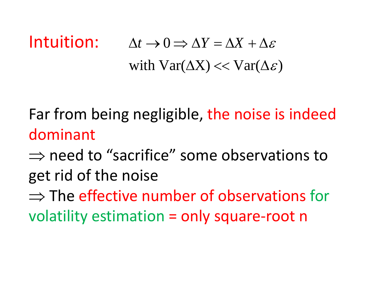#### **Intuition:**  $\Delta t \rightarrow 0 \Rightarrow \Delta Y = \Delta X + \Delta \varepsilon$ with  $Var(\Delta X) \ll Var(\Delta \varepsilon)$

Far from being negligible, the noise is indeed dominant

 $\Rightarrow$  need to "sacrifice" some observations to get rid of the noise

 $\Rightarrow$  The effective number of observations for volatility estimation <sup>=</sup> only square‐root <sup>n</sup>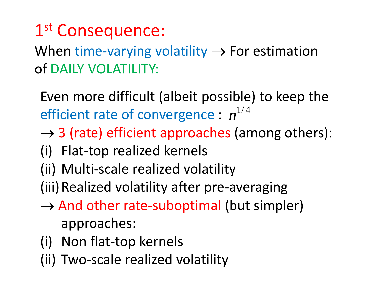### 1st Consequence:

When time-varying volatility  $\rightarrow$  For estimation of DAILY VOLATILITY:

Even more difficult (albeit possible) to keep the efficient rate of convergence :  $n^{1/4}$ 

- $\rightarrow$  3 (rate) efficient approaches (among others):
- (i) Flat‐top realized kernels
- (ii) Multi‐scale realized volatility
- (iii)Realized volatility after pre‐averaging
- → And other rate‐suboptimal (but simpler) approaches:
- (i) Non flat‐top kernels
- (ii) Two‐scale realized volatility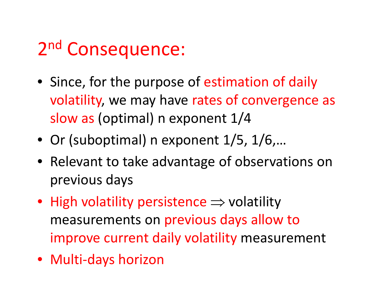# 2<sup>nd</sup> Consequence:

- Since, for the purpose of estimation of daily volatility, we may have rates of convergence as slow as (optimal) <sup>n</sup> exponent 1/4
- Or (suboptimal) <sup>n</sup> exponent 1/5, 1/6,…
- Relevant to take advantage of observations on previous days
- High volatility persistence  $\Rightarrow$  volatility measurements on previous days allow to improve current daily volatility measurement
- Multi‐days horizon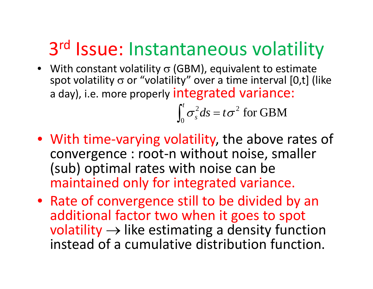# 3<sup>rd</sup> Issue: Instantaneous volatility

• With constant volatility  $\sigma$  (GBM), equivalent to estimate spot volatility σ or "volatility" over a time interval [0,t] (like a day), i.e. more properly integrated variance:

> for GBM 2 0 $\int_{s}^{t} \sigma_s^2 ds = t \sigma$ = ∫

- With time ‐varying volatility, the above rates of convergence : root ‐ n without noise, smaller (sub) optimal rates with noise can be maintained only for integrated variance.
- Rate of convergence still to be divided by an additional factor two when it goes to spot  $\textsf{volatility} \rightarrow$  like estimating a density function instead of a cumulative distribution function.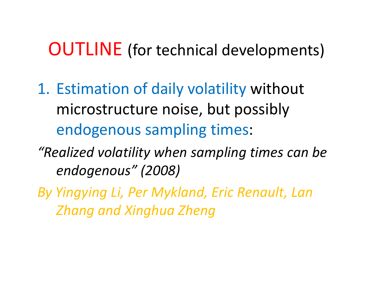#### OUTLINE (for technical developments)

- 1. Estimation of daily volatility without microstructure noise, but possibly endogenous sampling times:
- *"Realized volatility when sampling times can be endogenous" (2008)*
- *By Yingy g in Li, Per Mykland, Eric Renault, Lan Zhang and Xinghua Zheng*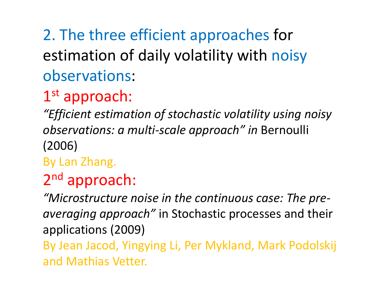### 2. The three efficient approaches for estimation of daily volatility with noisy observations:

### $1^{\rm st}$  approach:

*"Efficient estimation of stochastic volatility using noisy observations: a multi-scale approach" in* Bernoulli (2006)

By Lan Zhang.

### 2n<sup>d</sup> approach:

*"Microstructure Microstructurenoise in the continuous case: The pre‐ averaging approach"* in Stochastic processes and their applications (2009) By Jean Jacod, Yingying Li, Per Mykland, Mark Podolskij and Mathias Vetter.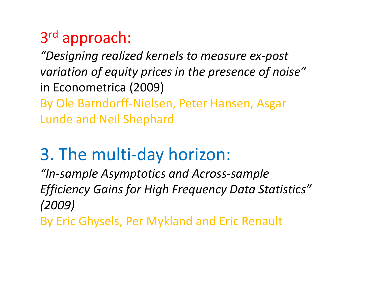#### 3r<sup>d</sup> approach:

*"D i i es gn ng reali d ze k l erne <sup>s</sup> to measure ex‐post variation of equity prices in the presence of noise"* in Econometrica (2009) By Ole Barndorff‐Nielsen, Peter Hansen, Asgar Lunde and Neil Shephard

### 3. The multi‐day horizon:

*"In‐sample Asymptotics and Across‐sample Efficiency Gains for High Frequency Data Statistics" (2009)*

By Eric Ghysels, Per Mykland and Eric Renault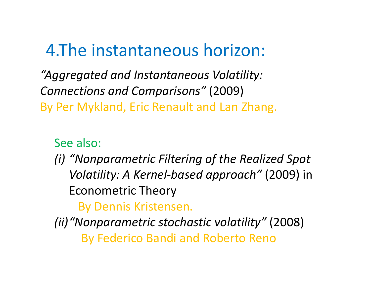### 4. The instantaneous horizon:

*"Aggregated and Instantaneous Volatility: Connections and Comparisons Comparisons"* (2009) By Per Mykland, Eric Renault and Lan Zhang.

#### See also:

*(i) "Nonparametric NonparametricFiltering of the Realized Spot Volatility: A Kernel‐based approach"* (2009) in Econometric Theory

#### By Dennis Kristensen.

*(ii)"Nonparametric stochastic volatility"* (2008) By Federico Bandi and Roberto Reno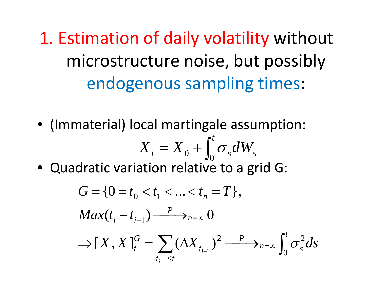1. Estimation of daily volatility without microstructure noise, but possibly endogenous sampling times:

• (Immaterial) local martingale assumption:

$$
X_t = X_0 + \int_0^t \sigma_s dW_s
$$

• Quadratic variation relative to a grid G:

$$
G = \{0 = t_0 < t_1 < \ldots < t_n = T\},
$$
\n
$$
Max(t_i - t_{i-1}) \xrightarrow{P} \to_{n=\infty} 0
$$
\n
$$
\implies [X, X]_t^G = \sum_{t_{i+1} \le t} (\Delta X_{t_{i+1}})^2 \xrightarrow{P} \to_{n=\infty} \int_0^t \sigma_s^2 ds
$$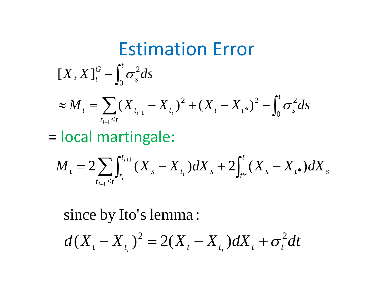### Estimation Error

$$
[X,X]_{t}^{G}-\int_{0}^{t}\sigma_{s}^{2}ds
$$

$$
\approx M_{t} = \sum_{t_{i+1} \leq t} (X_{t_{i+1}} - X_{t_i})^2 + (X_{t} - X_{t^*})^2 - \int_0^t \sigma_s^2 ds
$$

== local martingale:

$$
M_{t} = 2\sum_{t_{i+1} \leq t} \int_{t_i}^{t_{i+1}} (X_s - X_{t_i}) dX_s + 2\int_{t^*}^{t} (X_s - X_{t^*}) dX_s
$$

since by Ito's lemma :

$$
d(X_{t} - X_{t_{i}})^{2} = 2(X_{t} - X_{t_{i}})dX_{t} + \sigma_{t}^{2}dt
$$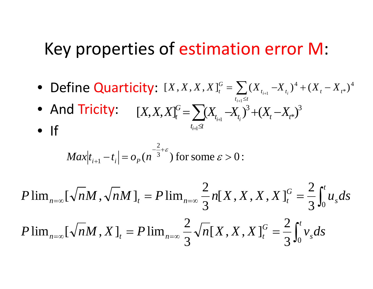#### Key properties of estimation error M:

- Define Quarticity:  $[X, X, X, X]_t^G = \sum (X_{t_{i+1}} X_{t_i})^4 + (X_t X_{t^*})^4$  $t_{i+1} \leq t$
- And Tricity: \*)<sup>3</sup>  $[X, X, X]_t^G = \sum (X_{t_{i+1}} - X_{t_i})^3 + (X_t - X_{t^*})^3$  $t_{i\!-\!1}$  $\!\leq$  $X$ ,  $X$ ,  $X$ <sub> $t$ </sub><sup>*G*</sup> =  $\sum$   $(X$ <sub> $t_{i+1}$ </sub>  $-X$ <sub> $t_i$ </sub> $)^3$  +  $(X$ <sub>*t*</sub>  $-X$ <sub>*t*</sub>
- If  ${}^{l_{i+1}}$

$$
Max|t_{i+1} - t_i| = o_p(n^{-\frac{2}{3} + \varepsilon})
$$
 for some  $\varepsilon > 0$ :

$$
P\lim_{n=\infty}[\sqrt{n}M,\sqrt{n}M]_t = P\lim_{n=\infty}\frac{2}{3}n[X,X,X,X]_t^G = \frac{2}{3}\int_0^t u_s ds
$$

$$
P\lim_{n=\infty}[\sqrt{n}M, X]_{t} = P\lim_{n=\infty} \frac{2}{3}\sqrt{n}[X, X, X]_{t}^{G} = \frac{2}{3}\int_{0}^{t}v_{s}ds
$$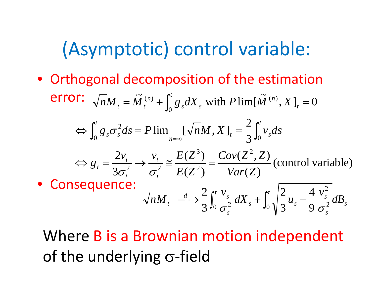# (Asymptotic) control variable:

• Orthogonal decomposition of the estimation error: 2 $\int_{S}^{2} ds = P \lim \left[ \sqrt{n} M, X \right]_{t} = \frac{2}{3} \int v_{s} dt$  $\widetilde{M}_{t}^{(n)} + \int_{-\infty}^{t} g_s dX_s$  with  $P \lim[\widetilde{M}^{(n)}, X]_t = 0$ 0 $nM_t = \tilde{M}_t^{(n)} + \int_0^t g_s dX_s$  with  $P \lim[\tilde{M}_t^{(n)}, X]_t$  $\int_0^t g_s \sigma_s^2 ds = P \lim_{n = \infty} [\sqrt{n}M, X]_t = \frac{2}{3} \int_0^t$ *n t s s n t*  $=\tilde{M}_{t}^{(n)}+\int_{0}^{t}g_{s}dX_{s}$  with  $P\lim[\tilde{M}^{(n)},X]_{t}=$  $\frac{2v_t}{2}$   $\rightarrow$   $\frac{v_t}{2} \approx \frac{E(Z^3)}{Z(Z^2)} = \frac{Cov(Z^2, Z)}{Z(Z^2)}$  (control variable)  $\int_{0}^{R} g_{s} \sigma_{s}^{2} ds = P \lim_{n \to \infty} [\sqrt{n} M, X]_{t} = \frac{1}{3} \int_{0}^{1}$ *v v*  $E(Z^3)$   $Cov(Z^2, Z)$  $\Leftrightarrow g_t = \frac{F(t)}{2} \rightarrow \frac{t}{2} \approx \frac{F(L)}{2} =$  $g_s \sigma_s^2 ds = P \lim_{n \to \infty} [\sqrt{n} M, X]_t = \frac{1}{3} \int_0^1 v_s ds$  $\Leftrightarrow \int_0^{\infty} g_s \sigma_s^2 ds = P \lim_{n = \infty} [\sqrt{n}M, X]_t = \frac{1}{3}$ • Consequence:  $\sigma_t^3$  (  $\sigma_t^2$   $\sigma_t^2$   $\sigma_t^2$   $E(Z^2)$   $Var(Z)$  $\frac{t}{s}$   $\left| \frac{2}{\pi} \right|$   $4 \frac{v_s}{s}$  $\frac{d}{dM_t}$   $\longrightarrow$   $\frac{d}{d\lambda}$   $\int_0^t \frac{V_s}{\sigma^2} dX_s$   $\longrightarrow$   $\int_0^t \sqrt{\frac{2}{3}u_s} - \frac{4}{9} \frac{V_s}{\sigma^2} dB_s$ 2  $\mathfrak{e}^{t}$   $\mathfrak{e}$   $\mathfrak{e}$   $\mathfrak{e}^{t}$   $\vert 2$  4  $\mathfrak{e}^{2}$ *s ss s s* $nM_t \longrightarrow \frac{a}{3}\int_0^s \frac{s}{\sigma^2} dX_s + \int_0^s \sqrt{\frac{a}{3}} u_s - \frac{s}{9} \frac{s}{\sigma^2}$ 

Where B is <sup>a</sup> Brownian motion independent of the underlying  $\sigma$ -field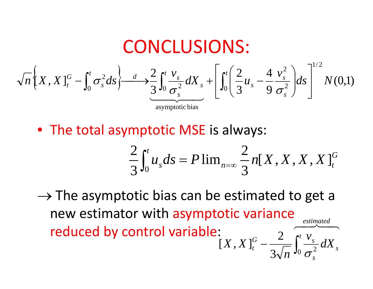**CONCLUSIONS:**  
\n
$$
\sqrt{n}\left[X, X\right]_{t}^{G} - \int_{0}^{t} \sigma_{s}^{2} ds \left\{ \frac{d}{d\sigma_{s}^{2}} \int_{0}^{t} \frac{V_{s}}{\sigma_{s}^{2}} dX_{s} + \left[ \int_{0}^{t} \left( \frac{2}{3} u_{s} - \frac{4}{9} \frac{v_{s}^{2}}{\sigma_{s}^{2}} \right) ds \right]^{1/2} N(0,1)
$$
\nasymptotic bias

• The total asymptotic MSE is always:

$$
\frac{2}{3} \int_0^t u_s ds = P \lim_{n \to \infty} \frac{2}{3} n[X, X, X, X]_t^G
$$

*s*

 $\rightarrow$  The asymptotic bias can be estimated to get a new estimator with asymptotic variance reduced by control variable:  $\overline{2\quad}$   $\overline{2\quad}$ estimated 2 *<sup>t</sup> v s*  $\int_{t}^{G}$  –  $\frac{2}{\sqrt{2}} \int_{0}^{t} \frac{V_{s}}{2} dX$ *n X* $\left[ X, X \right]_t^G - \frac{2}{3\sqrt{n}} \int_0^t \frac{V_s}{\sigma_s^2}$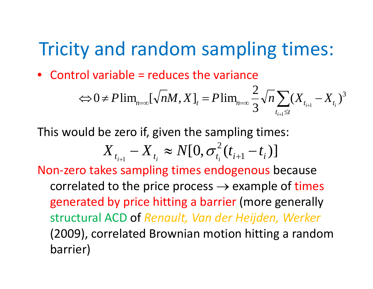### Tricity and random sampling times:

• Control variable <sup>=</sup> reduces the variance

$$
\Leftrightarrow 0 \neq P\lim_{n=\infty} [\sqrt{n}M, X]_t = P\lim_{n=\infty} \frac{2}{3} \sqrt{n} \sum_{t_{i+1} \leq t} (X_{t_{i+1}} - X_{t_i})^3
$$

This would be zero if, given the sampling times:

$$
X_{t_{i+1}} - X_{t_i} \approx N[0, \sigma_{t_i}^2(t_{i+1} - t_i)]
$$

Non‐zero takes sampling times endogenous because correlated to the price process  $\rightarrow$  example of times generated by price hitting a barrier (more generally structural ACD of *Renault, Van der Heijden, Werker* (2009), correlated Brownian motion hitting <sup>a</sup> random barrier)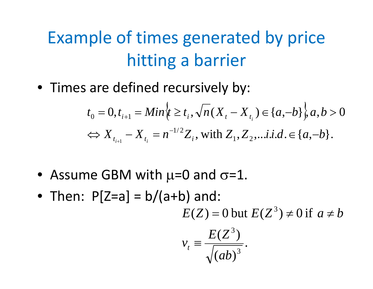### Example of times generated by price hitting <sup>a</sup> barrier

• Times are defined recursively by:

$$
t_0 = 0, t_{i+1} = Min_{t} \{t \ge t_i, \sqrt{n}(X_t - X_{t_i}) \in \{a, -b\}, a, b > 0
$$
  

$$
\Leftrightarrow X_{t_{i+1}} - X_{t_i} = n^{-1/2} Z_i, \text{ with } Z_1, Z_2, \dots \text{ i.i.d.} \in \{a, -b\}.
$$

- Assume GBM with  $\mu$ =0 and  $\sigma$ =1.
- Then:  $P[Z=a] = b/(a+b)$  and:  $E(Z) = 0$  but  $E(Z^3) \neq 0$  if  $a \neq b$

$$
v_t \equiv \frac{E(Z^3)}{\sqrt{(ab)^3}}.
$$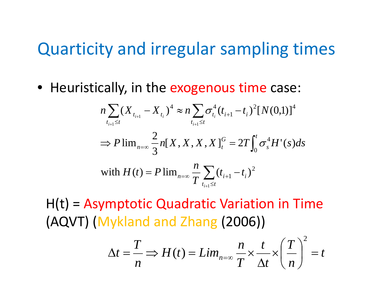#### Quarticity and irregular sampling times

• Heuristically, in the exogenous time case:

$$
n\sum_{t_{i+1}\leq t} (X_{t_{i+1}} - X_{t_i})^4 \approx n\sum_{t_{i+1}\leq t} \sigma_{t_i}^4 (t_{i+1} - t_i)^2 [N(0,1)]^4
$$
  
\n
$$
\Rightarrow P \lim_{n\to\infty} \frac{2}{3} n[X, X, X, X]_t^G = 2T \int_0^t \sigma_s^4 H'(s) ds
$$
  
\nwith  $H(t) = P \lim_{n\to\infty} \frac{n}{T} \sum_{t_{i+1}\leq t} (t_{i+1} - t_i)^2$ 

 $H(t)$  = Asymptotic Quadratic Variation in Time (AQVT) (Mykland and Zhang (2006))

$$
\Delta t = \frac{T}{n} \Rightarrow H(t) = Lim_{n=\infty} \frac{n}{T} \times \frac{t}{\Delta t} \times \left(\frac{T}{n}\right)^2 = t
$$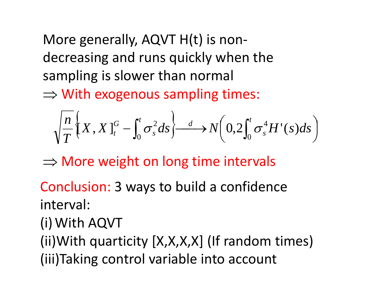More generally, AQVT H(t) is non‐ decreasing and runs quickly when the sampling is slower than normal

 $\Rightarrow$  With exogenous sampling times:

$$
\sqrt{\frac{n}{T}}\Big\{X,X\Big\}_{t}^{G}-\int_{0}^{t}\sigma_{s}^{2}ds\Big\}\stackrel{d}{\longrightarrow}N\Big(0,2\int_{0}^{t}\sigma_{s}^{4}H'(s)ds\Big)
$$

 $\Rightarrow$  More weight on long time intervals

Conclusion: 3 ways to build <sup>a</sup> confidence interval:

(i)With AQVT

(ii) With quarticity  $[X,X,X,X]$  (If random times) (iii)Taking control variable into account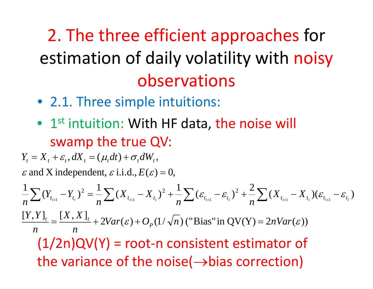2. The three efficient approaches for estimation of daily volatility with noisy observations

- 2.1. Three simple intuitions:
- $\bullet$  1st intuition: With HF data, the noise will swamp the true QV:

 $Y_t = X_t + \varepsilon_t$ ,  $dX_t = (\mu_t dt) + \sigma_t dW_t$ ,  $\varepsilon$  and X independent,  $\varepsilon$  i.i.d.,  $E(\varepsilon) = 0$ ,

 $\frac{1}{n}\sum_{t_{i+1}}(Y_{t_{i+1}}-Y_{t_i})^2=\frac{1}{n}\sum_{t_i}(X_{t_{i+1}}-X_{t_i})^2+\frac{1}{n}\sum_{t_i}(\varepsilon_{t_{i+1}}-\varepsilon_{t_i})^2+\frac{2}{n}\sum_{t_i}(X_{t_{i+1}}-X_{t_i})(\varepsilon_{t_{i+1}}-\varepsilon_{t_i})$  $(Y_{t_{i+1}}-Y_{t_i})^2=\frac{1}{n}\sum_{i} (X_{t_{i+1}}-X_{t_i})^2+\frac{1}{n}\sum_{i}(\varepsilon_{t_{i+1}}-\varepsilon_{t_i})^2+\frac{2}{n}\sum_{i} (X_{t_{i+1}}-X_{t_i})(\varepsilon_{t_{i+1}}-\varepsilon_{t_i})^2$  $\sum (Y_{t_{i+1}} - Y_{t_i})^2 = \frac{1}{n} \sum (X_{t_{i+1}} - X_{t_i})^2 + \frac{1}{n} \sum (\varepsilon_{t_{i+1}} - \varepsilon_{t_i})^2 + \frac{1}{n} \sum (X_{t_{i+1}} - X_{t_i}) (\varepsilon_{t_{i+1}} - \varepsilon_{t_i})^2$  $\frac{[Y,Y]}{[Y,Y]} = \frac{[X,X]}{[Y+2Var(\varepsilon)+O_p(1/\sqrt{n})]}$  ("Bias" in QV(Y) = 2nVar( $\varepsilon$ )) *nX*, *Y I*, *I X*, *X n* $n \longrightarrow \sum_{i+1}^{n} n$  *n*  $n \longrightarrow \sum_{i+1}^{n} n$  *n*  $n \longrightarrow \sum_{i+1}^{n} n$  *n*  $n \longrightarrow \sum_{i+1}^{n} n$  *n P* $t = \frac{1}{2} + 2Var(\varepsilon) + O_p(1/\sqrt{n})$  ("Bias" in  $\text{OV}(Y) =$  $(1/2n)QV(Y)$  = root-n consistent estimator of the variance of the noise( $\rightarrow$ bias correction)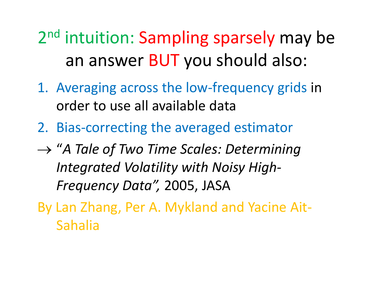2<sup>nd</sup> intuition: Sampling sparsely may be an answer BUT you should also:

- 1. Averaging across the low‐frequency grids in order to use all available data
- 2. Bias‐correcting the averaged estimator
- → "*A Tale of Two Time Scales: Determining I d ntegratedV l ili <sup>o</sup> atility wi ht N i <sup>o</sup> sy Hi hg ‐ Frequency Data",* 2005, JASA
- By Lan Zhang, Per A. Mykland and Yacine Ait‐ Sahalia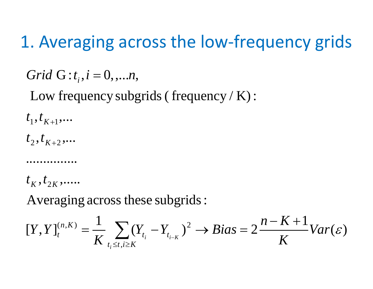### 1. Averaging across the low‐frequency grids

 $Grid\ G$  :  $t_{i}$  ,  $i=0,....n$  ,

Low frequency subgrids( frequency / K):

 $t_{\rm 1}^{\phantom{\dag}}, t_{\rm \scriptscriptstyle{K+1}}^{\phantom{\dag}}, \ldots$ 

 $t_{\scriptscriptstyle 2}^{\scriptscriptstyle 1}, t_{\scriptscriptstyle K+2}^{\scriptscriptstyle 2},\ldots$ 

...............

 $t_{\overline{K}}, t_{\overline{2}\overline{K}},.....$ 

Averaging across these subgrids:

$$
[Y,Y]_{t}^{(n,K)} = \frac{1}{K} \sum_{t_i \leq t, i \geq K} (Y_{t_i} - Y_{t_{i-K}})^2 \to Bias = 2\frac{n-K+1}{K}Var(\varepsilon)
$$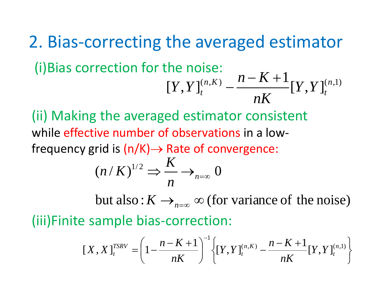2. Bias‐correcting the averaged estimator (i)Bias correction for the noise:  $[Y, Y]_{t}^{(n,K)} - \frac{n-K+1}{K}[Y, Y]_{t}^{(n,1)}$  $nk$ <sup>Let</sup>,  $nK$ <sup>Let</sup>,  $n<sup>t</sup>$ 

(ii) Making the averaged estimator consistent while effective number of observations in <sup>a</sup> low‐ frequency grid is  $(n/K) \rightarrow$  Rate of convergence:

$$
(n/K)^{1/2} \Rightarrow \frac{K}{n} \rightarrow_{n=\infty} 0
$$

but also:  $K \rightarrow_{n=\infty} \infty$  (for variance of the noise) (iii)Finite sample bias‐correction:

$$
[X, X]_{t}^{TSRV} = \left(1 - \frac{n - K + 1}{nK}\right)^{-1} \left\{ [Y, Y]_{t}^{(n, K)} - \frac{n - K + 1}{nK} [Y, Y]_{t}^{(n, 1)} \right\}
$$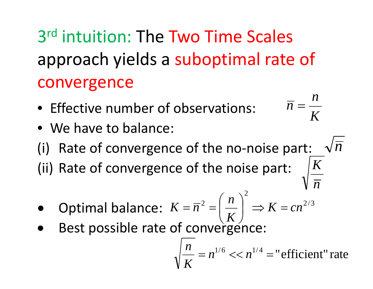3<sup>rd</sup> intuition: The Two Time Scales approach yields a suboptimal rate of convergence

- Effective number of observations:  $\overline{n} = \frac{n}{n}$
- We have to balance:
- (i) Rate of convergence of the no-noise part:  $\sqrt{n}$
- (ii) Rate of convergence of the noise part:  $\Lambda$
- $\left(n\right)^2$  *n*<br>  $\left(n\right)^2$   $\left(n\right)^2$  $\bullet$ **•** Optimal balance:  $2 = \frac{n}{2}$   $\Rightarrow K = cn^{2/3}$ *K K* $K = \overline{n}^2 = \left(\frac{n}{K}\right)^2 \Rightarrow K =$
- $\bullet$ • Best possible rate of convergence: possible rate of converg

$$
\sqrt{\frac{n}{K}} = n^{1/6} \ll n^{1/4} =
$$
"efficient" rate

*K*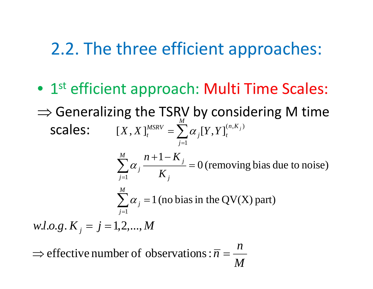#### 2.2. The three efficient approaches:

- 1st efficient approach: Multi Time Scales:
- $\Rightarrow$  Generalizing the TSRV by considering M time l**les:**  $[X, X]_{t}^{MSRV} = \sum \alpha_{j} [Y, Y]_{t}^{(n, K_{j})}$  $\textsf{scales:} \qquad [X, X]_t^{MSRV} = \sum_{i=1}^{M} \alpha_i [Y, Y]_t^{(n, K_i)}$ 1= = $\sum_{j=1}$ <sup>o</sup> $\sum_{j=1}^{t}$  $=\sum_{j}a_{j}$  $(X, X)_{t}^{MSKV} = \sum a_j [Y, Y]_{t}^{(n, K)}$

0 (removing bias due to noise)  $\sum_{i=1}^{M} \alpha_i \frac{n+1-K_i}{K}$  $\sum_{j=1}^{M} \alpha_j \frac{n+1-K_j}{K_j} = 0$  (removing bias due to noise)  $\sum_{j=1}^{N}$  *K*<sub>j</sub>  $\alpha$ 

 $\sum \alpha_j = 1$  (no bias in the QV(X) part) *M*  $\alpha_i = 1$  (no bias 1) 1 $\sum a_i =$ *j*<sup>=</sup>  $\mathbf{u}_j$ 

 $w.l.o.g. K<sub>j</sub> = j = 1, 2, ..., M$ 

*M* $\Rightarrow$  effective number of observations :  $\overline{n} = \frac{n}{n}$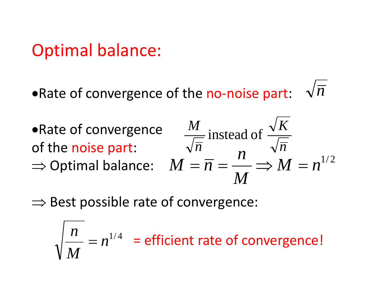#### Optimal balance:

- •Rate of convergence of the no-noise part:  $\;\;\sqrt{\mathstrut} n$
- •Rate of convergence  $\frac{M}{M}$  instead of  $\frac{\sqrt{K}}{M}$ of the noise part: ⇒ Optimal balance:  $M = \overline{n} = \frac{n}{n}$  ⇒

$$
\frac{M}{\sqrt{\overline{n}}} \text{ instead of } \frac{\sqrt{K}}{\sqrt{\overline{n}}}
$$

$$
M = \overline{n} = \frac{n}{M} \Rightarrow M = n^{1/2}
$$

 $\Rightarrow$  Best possible rate of convergence:

$$
\sqrt{\frac{n}{M}} = n^{1/4}
$$
 = efficient rate of convergence!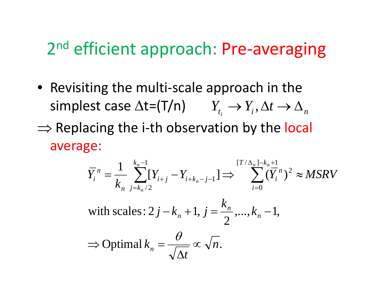### 2<sup>nd</sup> efficient approach: Pre-averaging

- Revisiting the multi‐scale approach in the  $\mathsf{simplest}$  case  $\Delta \mathsf{t} = (\mathsf{T}/\mathsf{n}) \qquad Y_{_{t_i}} \to Y_{_i}, \Delta t \to \Delta_{_n}$
- ⇒ Replacing the i-th observation by the local ‐average:

$$
\overline{Y}_{i}^{n} = \frac{1}{k_{n}} \sum_{j=k_{n}/2}^{k_{n}-1} [Y_{i+j} - Y_{i+k_{n}-j-1}] \Rightarrow \sum_{i=0}^{[T/\Delta_{n}] - k_{n}+1} (\overline{Y}_{i}^{n})^{2} \approx MSRV
$$
\nwith scales:  $2j - k_{n} + 1$ ,  $j = \frac{k_{n}}{2}$ , ...,  $k_{n} - 1$ ,\n
$$
\Rightarrow \text{Optimal } k_{n} = \frac{\theta}{\sqrt{\Delta t}} \propto \sqrt{n}.
$$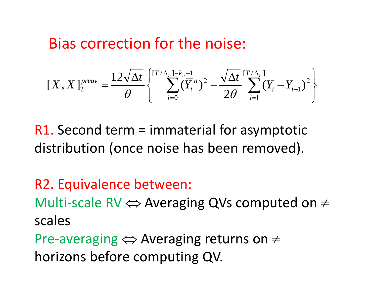#### Bias correction for the noise:

$$
[X, X]_{T}^{prev} = \frac{12\sqrt{\Delta t}}{\theta} \left\{ \sum_{i=0}^{[T/\Delta_{n}] - k_{n}+1} (\overline{Y}_{i}^{n})^{2} - \frac{\sqrt{\Delta t}}{2\theta} \sum_{i=1}^{[T/\Delta_{n}]} (Y_{i} - Y_{i-1})^{2} \right\}
$$

 $R1.$  Second term = immaterial for asymptotic distribution (once noise has been removed).

R2. Equivalence between: Multi-scale RV  $\Longleftrightarrow$  Averaging QVs computed on  $\neq$ scalesPre-averaging  $\Leftrightarrow$  Averaging returns on  $\neq$ horizons before computing QV.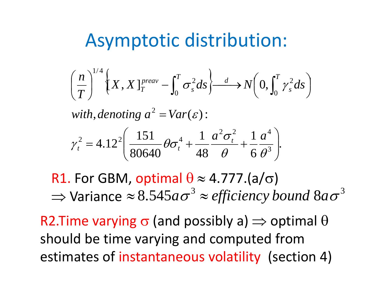### Asymptotic distribution:

$$
\left(\frac{n}{T}\right)^{1/4} \left\{X, X\right\}_{T}^{prev} - \int_{0}^{T} \sigma_{s}^{2} ds \right\} \xrightarrow{d} N\left(0, \int_{0}^{T} \gamma_{s}^{2} ds\right)
$$
\nwith, denoting  $a^{2} = Var(\varepsilon)$ :  
\n
$$
\gamma_{t}^{2} = 4.12^{2} \left(\frac{151}{80640} \theta \sigma_{t}^{4} + \frac{1}{48} \frac{a^{2} \sigma_{t}^{2}}{\theta} + \frac{1}{6} \frac{a^{4}}{\theta^{3}}\right).
$$

R1. For GBM, optimal  $\theta$   $\approx$  4.777.(a/ $\sigma$ )  $\Rightarrow$  Variance  $\approx 8.545$ a $\sigma^3 \approx$  *efficiency bound*  $8$ *a* $\sigma^3$ 

R2.Time varying  $\sigma$  (and possibly a)  $\Rightarrow$  optimal  $\theta$ should be time varying and computed from estimates of instantaneous volatility (section 4)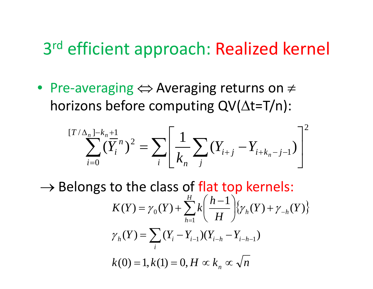### 3<sup>rd</sup> efficient approach: Realized kernel

• Pre‐averaging <sup>⇔</sup> Averaging returns on <sup>≠</sup> horizons before computing  $\mathsf{QV}(\Delta\mathsf{t}{=}\mathsf{T}/\mathsf{n})$ :

$$
\sum_{i=0}^{[T/\Delta_n]-k_n+1} (\overline{Y}_i^n)^2 = \sum_i \left[ \frac{1}{k_n} \sum_j (Y_{i+j} - Y_{i+k_n-j-1}) \right]^2
$$

 $\rightarrow$  Belongs to the class of flat top kernels:  $\sum_{l=1}^{H} k \left( \frac{h-1}{H} \right) \left\{ \gamma_h(Y) + \gamma_{-h}(Y) \right\}$  $Y$   $(Y - Y_{i-1})(Y_{i-1} - Y_i)$ *H* $K(Y) = \gamma_0(Y) + \sum k \frac{n-1}{N} \left| \left\{ \gamma_h(Y) + \gamma_{-h} \right\} \right|$  $=\gamma_0(Y)+\sum_{h=1}^H k\left(\frac{h-1}{H}\right)\!\!\{\gamma_h(Y)+$  $\gamma_h(Y) = \sum_{i} (Y_i - Y_{i-1})(Y_{i-h} - Y_{i-h-1})$  $\chi(Y) = \gamma_0(Y) + \sum_{i} k \frac{n-1}{N} \left| \{ \gamma_h(Y) + \gamma_{-h}(Y) \right|$ =1 $\gamma_0(Y)$  +  $\sum_{i=1}^k K$   $\frac{1}{N!}$   $\left[\frac{1}{N}Y_h(Y) + \gamma\right]$  $k(0) = 1, k(1) = 0, H \propto k_n \propto \sqrt{n}$ *i*  $h \times I = \sum_i \sum_i \mathbf{I}_i \mathbf{I}_i - \mathbf{I}_i I \mathbf{I}_i$  $(0) = 1, k(1) = 0, H \propto k_n \propto$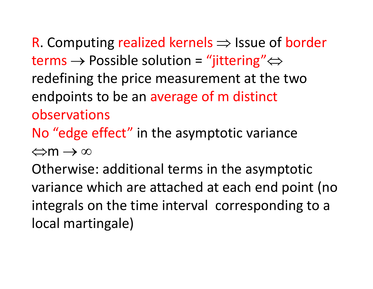R. Computing realized kernels  $\Rightarrow$  Issue of border terms  $\rightarrow$  Possible solution = "jittering" $\Leftrightarrow$ redefining the price measurement at the two endpoints to be an average of <sup>m</sup> distinct observationsNo "edge effect" in the asymptotic variance

⇔m → ∞

Otherwise: additional terms in the asymptotic variance which are attached at each end point (no integrals on the time interval corresponding to <sup>a</sup> local martingale)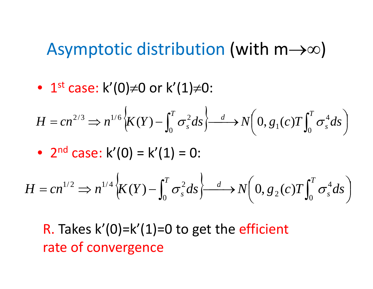#### Asymptotic distribution (with  $m\rightarrow\infty$ )

 $\bullet~$  1 $^{\rm st}$  case: k'(0)≠0 or k'(1)≠0:

$$
H = cn^{2/3} \Rightarrow n^{1/6} \Big\{ K(Y) - \int_0^T \sigma_s^2 ds \Big\} \xrightarrow{d} N\Big( 0, g_1(c) T \int_0^T \sigma_s^4 ds \Big)
$$

• 
$$
2^{nd}
$$
 case:  $k'(0) = k'(1) = 0$ :

$$
H = cn^{1/2} \Rightarrow n^{1/4} \left\{ K(Y) - \int_0^T \sigma_s^2 ds \right\} \xrightarrow{d} N\left(0, g_2(c)T \int_0^T \sigma_s^4 ds\right)
$$

#### R. Takes  $\mathsf{k}'(0)$ = $\mathsf{k}'(1)$ =0 to get the efficient rate of convergence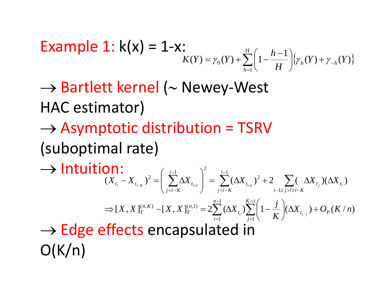**Example 1:** 
$$
k(x) = 1-x
$$
:  

$$
K(Y) = \gamma_0(Y) + \sum_{h=1}^{H} \left(1 - \frac{h-1}{H}\right) \{ \gamma_h(Y) + \gamma_{-h}(Y) \}
$$

→ Bartlett kernel (<sup>∼</sup> Newey‐West HAC estimator)

 $\rightarrow$  Asymptotic distribution = TSRV (suboptimal rate)

 $\rightarrow$  Intuition:  $(X_t - X_{t-1})^2 = | \sum \Delta X_{t-1} | = \sum (\Delta X_{t-1})^2 + 2 \sum (\Delta X_{t-1}) (\Delta X_{t-1})$ 12 1 2  $\left(\begin{array}{cc} i-1 & \\ \mathbf{V} & \mathbf{A} \end{array}\right)^2$  $\mathbf{1}$   $\mathbf{1}$   $\mathbf{1}$   $\mathbf{1}$   $\mathbf{1}$  $X_{t_i} - X_{t_{i,k}}^T$   $\leq$   $\left[ \sum_{i=1}^N \Delta X_{t_{i,j}}^T \right] = \sum_{i=1}^N (\Delta X_{t_{i,j}}^T)^2 + 2 \sum_{i=1}^N (\Delta X_{t_{i,j}}^T) (\Delta X_{t_{i,j}}^T)^2$ *i*−1≥*j>l≥i*−*K i j i K t i j i K*  $t_i$   $\cdots$   $t_{i-K}$   $\cdots$   $t_{i+1}$   $\cdots$   $\cdots$   $t_i$  $\begin{pmatrix} 1 & j \end{pmatrix}$  $=$   $\sum (\Delta$  $(-X_{t_{i-K}})^2 = \left(\sum_{j=i-K}^{i-1} \Delta X_{t_{i+1}}\right)^2 = \sum_{j=i-K}^{i-1} (\Delta X_{t_{i+1}})^2 + 2 \sum_{i-1 \ge j > l \ge i-K} (\Delta X_{t_j})(\Delta X_{t_j})$  $\rightarrow$  Edge effects encapsulated in  $[X, X]_{T}^{(n,\kappa)} - [X, X]_{T}^{(n,\kappa)} = 2 \sum (\Delta X_{t}) \sum |1 - \frac{J}{I_{-T}}| (\Delta X_{t_{-T}}) + O_{p}(K/n)$ 11 1 $(X, K) - [X, X]_T^{(n,1)} = 2 \sum (\Delta X) \sum |1 - \Delta| (\Delta X) + O_n(K/n)$ *K* $[X, X]_T^{(n,K)} - [X, X]_T^{(n,1)} = 2 \sum_{i=1}^{n-1} (\Delta X_{t_i}) \sum_{i=1}^{K \wedge i} \left(1 - \frac{j}{K} \right) (\Delta X_{t_{i-1}}) + O_p$ *j*  $t_i$   $\left/$   $\right/$   $\left| \right|$   $\left| \right|$   $\left| \right|$   $\left| \right|$   $\left| \right|$   $\left| \right|$   $\left| \right|$   $\left| \right|$   $\left| \right|$   $\left| \right|$   $\left| \right|$   $\left| \right|$   $\left| \right|$   $\left| \right|$   $\left| \right|$   $\left| \right|$   $\left| \right|$   $\left| \right|$   $\left| \right|$   $\left| \right|$   $\left| \right|$   $\left| \right|$   $\left| \right$ *n in T*  $T^{(n,K)}_T - [X,X]^{(n,1)}_T = 2 \sum (\Delta X_{t_i})$  $\Rightarrow$   $[X, X]_T^{(n,K)} - [X, X]_T^{(n,1)} = 2 \sum_{i=1}^{n-1} (\Delta X_{t_i}) \sum_{j=1}^{K \wedge i} \left(1 - \frac{j}{K}\right) (\Delta X_{t_{i-j}}) +$  $O(K/n)$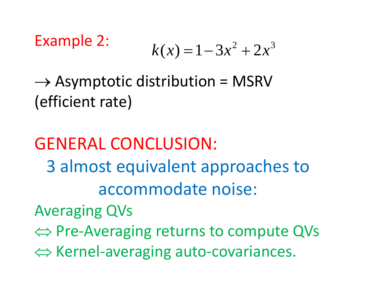# Example 2:  $k(x) = 1-3x^2 + 2x^3$

 $\rightarrow$  Asymptotic distribution = MSRV (efficient rate)

GENERAL CONCLUSION: 3 almost equivalent approaches to accommodate noise: Averaging QVs ⇔ Pre‐Averaging returns to compute QVs ⇔ Kernel‐averaging auto‐covariances.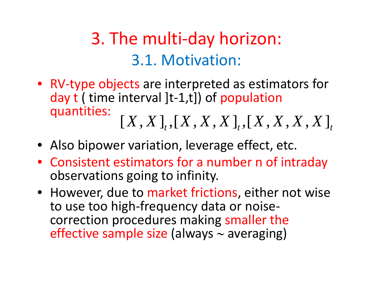### 3. The multi‐day horizon: 3.1. Motivation:

- RV‐type objects are interpreted as estimators for day t ( time interval ]t-1,t]) of population quantities: *X* $[X, X]_{t}$ ,  $[X, X, X]_{t}$ ,  $[X, X, X, X]_{t}$
- Also bipower variation, leverage effect, etc.
- Consistent estimators for <sup>a</sup> number <sup>n</sup> of intraday observations going to infinity.
- However, due to market frictions, either not wise to use too high‐frequency data or noise‐ correction procedures making smaller the effective sample size (always <sup>∼</sup> averaging)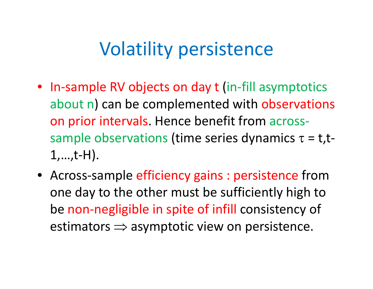### Volatility persistence

- In‐sample RV objects on day <sup>t</sup> (in‐fill asymptotics about n) can be complemented with observations on prior intervals. Hence benefit from across‐ sample observations (time series dynamics  $\tau = t$ , t- $1,...,t-H$ ).
- Across‐sample efficiency gains : persistence from one day to the other must be sufficiently high to be non‐negligible in spite of infill consistency of estimators  $\Rightarrow$  asymptotic view on persistence.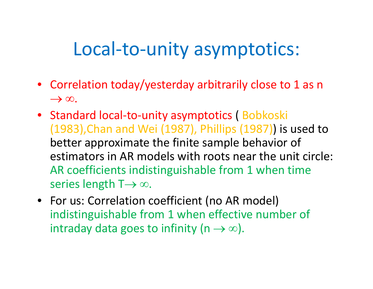### Local-to-unity asymptotics:

- Correlation today/yesterday arbitrarily close to 1 as n  $\rightarrow \infty$ .
- Standard local-to-unity asymptotics (Bobkoski  $(1983)$ , Chan and Wei (1987), Phillips  $(1987)$ ) is used to better approximate the finite sample behavior of estimators in AR models with roots near the unit circle: AR coefficients indistinguishable from 1 when time series length T $\rightarrow \infty$ .
- For us: Correlation coefficient (no AR model) indistinguishable from 1 when effective number of intraday data goes to infinity (n  $\rightarrow \infty$ ).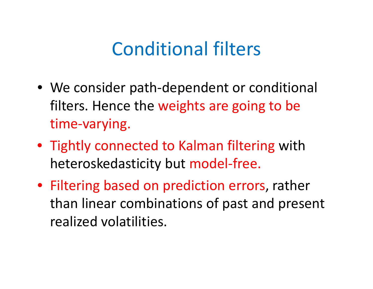### Conditional filters

- We consider path‐dependent or conditional filters. Hence the weights are going to be time‐varying.
- Tightly connected to Kalman filtering with heteroskedasticity but model‐free.
- Filtering based on prediction errors, rather than linear combinations of past and present realized volatilities.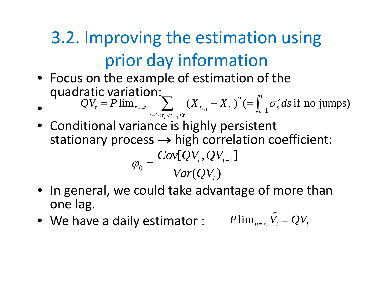# 3.2. Improving the estimation using prior day in formation

- Focus on the example of estimation of the quadratic variation: *t*
- • $\sum_{t=0}^{\infty} (X_{t_{i+1}} - X_{t_i})^2 (= \int_{t-1}^t$  $t - 1 < t_i < t_{i+1} \leq t$  $=$   $\Gamma$   $\lim_{x \to \infty}$   $\qquad$   $\lambda$   $\qquad$   $\qquad$   $\Lambda$   $\qquad$   $\qquad$   $\qquad$   $\qquad$   $\qquad$   $\qquad$   $\qquad$   $\qquad$   $\qquad$   $\qquad$   $\qquad$   $\qquad$   $\qquad$   $\qquad$   $\qquad$   $\qquad$   $\qquad$   $\qquad$   $\qquad$   $\qquad$   $\qquad$   $\qquad$   $\qquad$   $\qquad$   $\qquad$   $\qquad$   $\qquad$   $\qquad$   $\q$  $QV_t = P \lim_{n \to \infty} \sum_{i=1}^{n} (X_{t_{i+1}} - X_{t_i})^2 (= \int_{t-1}^t \sigma_s^2 ds)$  $1 \le t_i \le t_{i+1} \le t$   $\qquad t_i \qquad t_i > 0$  $\lim_{n=\infty}$   $\sum_{i=1}^{\infty} (X_{t+1} - X_t)^2 (= \int_{-\infty}^{\infty} \sigma_s^2 ds)$  of no jumps)
- Conditional variance is highly persistent stationary process  $\rightarrow$  high correlation coefficient:

$$
\varphi_0 = \frac{Cov[QV_t, QV_{t-1}]}{Var(QV_t)}
$$

- In general, we could take advantage of more than lone lag.
- We have a daily estimator :  $P \lim_{n = \infty} \hat{V}_t = Q V_t$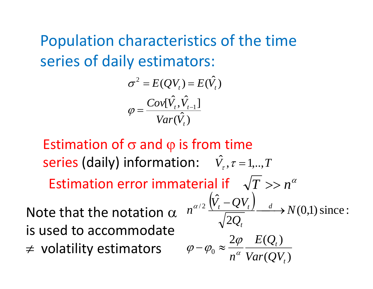Population characteristics of the time series of daily estimators:

$$
\sigma^2 = E(QV_t) = E(\hat{V}_t)
$$

$$
\varphi = \frac{Cov[\hat{V}_t, \hat{V}_{t-1}]}{Var(\hat{V}_t)}
$$

Estimation of  $\sigma$  and  $\phi$  is from time  $s$ eries (daily) information:  $\hat{V}_{\tau}$ ,  $\tau$  = 1,..,  $T$ Estimation error immaterial if  $\quad \sqrt{ T } >> n^{\alpha}$ 

Note that the notation  $\alpha$ is used to accommodate ≠ volatility estimators  $\varphi - \varphi_0 \approx \frac{2\varphi}{\pi^{\alpha}}$ 

$$
n^{\alpha/2} \frac{\left(\hat{V}_t - QV_t\right)}{\sqrt{2Q_t}} \longrightarrow N(0,1) \text{ since :}
$$
\n
$$
\varphi - \varphi_0 \approx \frac{2\varphi}{n^{\alpha}} \frac{E(Q_t)}{Var(QV_t)}
$$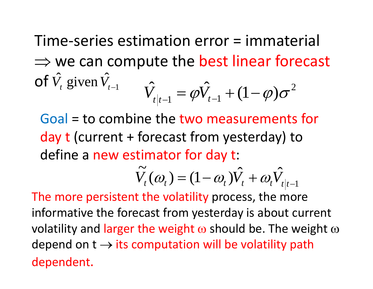Time‐series estimation error <sup>=</sup> immaterial  $\Rightarrow$  we can compute the best linear forecast **of**  $\hat{V}_t$  given  $\hat{V}_t$ <sub>*t*-1</sub>  $\hat{V}_{t|_{t-1}} = \varphi \hat{V}_{t-1} + (1 - \varphi)\sigma^2$ 

Goal <sup>=</sup> to combine the two measurements for day <sup>t</sup> (current <sup>+</sup> forecast from yesterday) to define a new estimator for day t:

$$
\widetilde{V}_t(\omega_t) = (1 - \omega_t)\hat{V}_t + \omega_t \hat{V}_{t|t-1}
$$

The more persistent the volatility process, the more informative the forecast from yesterday is about current volatility and larger the weight  $\omega$  should be. The weight  $\omega$ depend on  $t \rightarrow$  its computation will be volatility path dependent.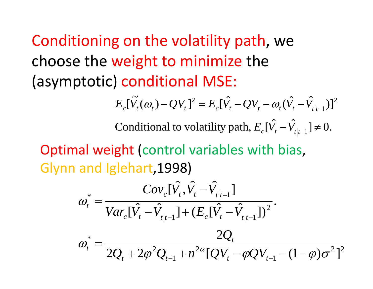Conditioning on the volatility path, we choose the weight to minimize the (asymptotic) conditional MSE:

$$
E_c[\tilde{V}_t(\omega_t) - QV_t]^2 = E_c[\hat{V}_t - QV_t - \omega_t(\hat{V}_t - \hat{V}_{t|t-1})]^2
$$

Conditional to volatility path,  $E_c[\hat{V}_t - \hat{V}_{t|t-1}] \neq 0.$ 

Optimal weight (control variables with bias, Glynn and Iglehart, 1998)

$$
\omega_{t}^{*} = \frac{Cov_{c}[\hat{V}_{t}, \hat{V}_{t} - \hat{V}_{t|t-1}]}{Var_{c}[\hat{V}_{t} - \hat{V}_{t|t-1}] + (E_{c}[\hat{V}_{t} - \hat{V}_{t|t-1}])^{2}}.
$$

$$
\omega_{t}^{*} = \frac{2Q_{t}}{2Q_{t} + 2\varphi^{2}Q_{t-1} + n^{2\alpha}[QV_{t} - \varphi QV_{t-1} - (1-\varphi)\sigma^{2}]^{2}}
$$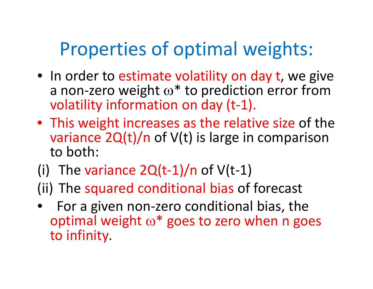## Properties of optimal weights:

- In order to estimate volatility on day t, we give a non-zero weight  $\omega^*$  to prediction error from volatility information on day (t‐1).
- This weight increases as the relative size of the variance 2Q(t)/n of V(t) is large in comparison to both:
- (i) The variance  $2Q(t-1)/n$  of  $V(t-1)$
- (ii) The squared conditional bias of forecast
- •● For a given non-zero conditional bias, the optimal weight  $\omega^*$  goes to zero when n goes to infinity.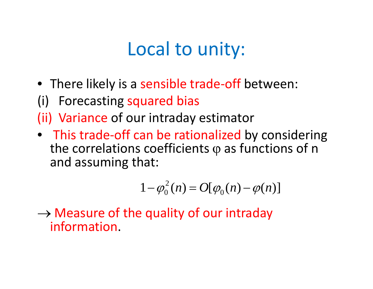# Local to unity:

- There likely is a sensible trade-off between:
- (i) Forecasting squared bias
- (ii) Variance of our intraday estimator
- This trade‐off can be rationalized by considering the correlations coefficients  $\operatorname{\varphi}$  as functions of  $\operatorname{\mathsf{n}}$ and assuming that:

$$
1 - \varphi_0^2(n) = O[\varphi_0(n) - \varphi(n)]
$$

 $\rightarrow$  Measure of the quality of our intraday information.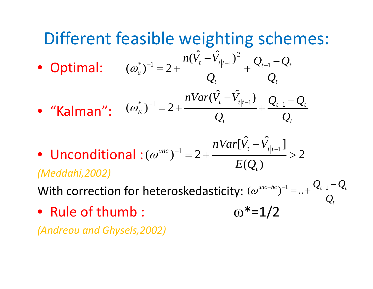#### Different feasible weighting schemes:  $\hat{Z} = \hat{V} - \lambda^2$ • Optimal: *t* t-1  $\boldsymbol{\varkappa}$ t *t*  $t \t t$   $t$  $Q_t$  *Q*  $Q_{\scriptscriptstyle{t-1}}$  –  $Q$ *Q*  $\frac{n(V_t - V_{t|t-1})^2}{\cdots} + \frac{Q_{t-1} - Q_{t-1}}{I}$ −  $^{-1} = 2 + \frac{1}{1}$ \* $(\omega_{\mu}^*)^{-1} = 2 + \frac{n(V_{t} - V_{t|t-1})}{n}$ • "Kalman": *t* $t-1$   $\boldsymbol{\varkappa}$  t *tt t t*  $\begin{array}{ccc} K & - & Q \\ & Q & Q \end{array}$  $Q_{t-1}-Q$ *Q*  $\frac{nVar(V_t - V_{t|t-1})}{(V_t - V_{t|t-1})} + \frac{Q_{t-1} - Q_{t-1}}{V_{t-1}}$ −  $(\hat{V}_t - \hat{V}_t)$ <sup>+</sup> = 2 +  $\frac{nVar(\hat{V}_t - \hat{V}_t|_{t-1})}{nVar(\hat{V}_t - \hat{V}_t|_{t-1})}$  $(\omega_{\scriptscriptstyle K}^{\scriptscriptstyle \circ})^{-1} = 2$

• Unconditional: $(\omega^{unc})^{-1} = 2 + \frac{1}{2} + \frac{1}{2} = 2$  $(Q_{\scriptscriptstyle{t}})$  $[\hat{V}_t - \hat{V}_{t|_{t-1}}]$  $(\omega^{unc})^{-1} = 2 + \frac{n \nu a r \nu_t - v_{t|t-1}}{n \nu t} >$  $u$ nc<sub>)</sub><sup>-1</sup> = 2 +  $\frac{u^2 + 2u^2 + 2u^2 + 2u^2 + 2u^2 + 2u^2 + 2u^2 + 2u^2 + 2u^2 + 2u^2 + 2u^2 + 2u^2 + 2u^2 + 2u^2 + 2u^2 + 2u^2 + 2u^2 + 2u^2 + 2u^2 + 2u^2 + 2u^2 + 2u^2 + 2u^2 + 2u^2 + 2u^2 + 2u^2 + 2u^2 + 2u^2 + 2u^2 + 2u^2 + 2u^2 + 2u^2 + 2u^2 + 2$ *E Q nVar*  $V - V$  $(\omega^{m})^{-1} = 2 + \frac{E(Q_t)}{E(Q_t)}$ *(Meddahi,2002)*

With correction for heteroskedasticity:  $(\omega^{unc-hc})^{-1} = .. + \frac{\mathcal{L}_{t-1} - \mathcal{L}_t}{\Omega}$ *Q*  $(\omega^{unc-hc})^{-1} = ... + \frac{Q_{t-1} - Q_t}{2}$  $\mathcal{Q}_t$ 

 $\omega^*$ =1/2

• Rule of thumb

*(Andreou and Ghysels,2002) ( y, )*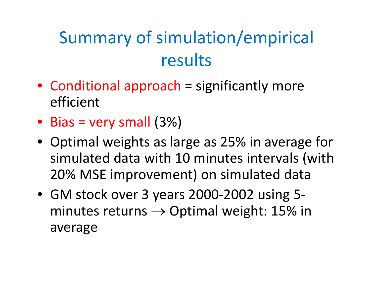# Summary of simulation/empirical results

- Conditional approach = significantly more efficient
- Bias <sup>=</sup> very small (3%)
- Optimal weights as large as 25% in average for simulated data with 10 minutes intervals (with 20% MSE improvement) on simulated data
- GM stock over 3 years 2000‐2002 using 5‐ minutes returns  $\rightarrow$  Optimal weight: 15% in average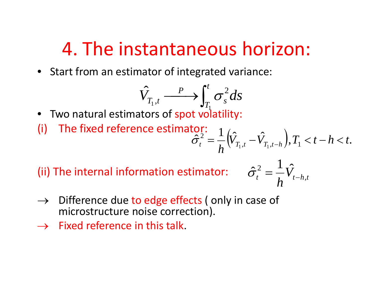### 4. The instantaneous horizon:

• Start from an estimator of integrated variance:

$$
\hat{V}_{T_1,t} \xrightarrow{P} \int_{T_1}^t \sigma_s^2 ds
$$

• Two natural estimators of spot volatility:

(i) The fixed reference estimator: 
$$
\hat{\sigma}_t^2 = \frac{1}{h} \Big( \hat{V}_{T_1,t} - \hat{V}_{T_1,t-h} \Big), T_1 < t - h < t.
$$

(ii) The internal information estimator:  $\hat{\sigma}$ 

$$
\hat{\sigma}_t^2 = \frac{1}{h} \hat{V}_{t-h,t}
$$

- $\rightarrow$  Difference due to edge effects (only in case of microstructure noise correction).
- $\rightarrow$  Fixed reference in this talk.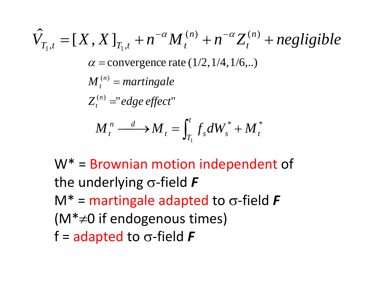$$
\hat{V}_{T_1,t} = [X, X]_{T_1,t} + n^{-\alpha} M_t^{(n)} + n^{-\alpha} Z_t^{(n)} + negligible
$$
\n
$$
\alpha = \text{convergence rate } (1/2, 1/4, 1/6, ...)
$$
\n
$$
M_t^{(n)} = martingale
$$
\n
$$
Z_t^{(n)} = "edge effect"
$$
\n
$$
M_t^n \xrightarrow{d} M_t = \int_{T_1}^t f_s dW_s^* + M_t^*
$$

W\* <sup>=</sup> Brownian motion independent of the underlying <sup>σ</sup>‐field *F* M\* <sup>=</sup> martingale adapted to <sup>σ</sup>‐field *F* (M\*≠0 if endogenous times) f <sup>=</sup> adapted to <sup>σ</sup>‐field *F*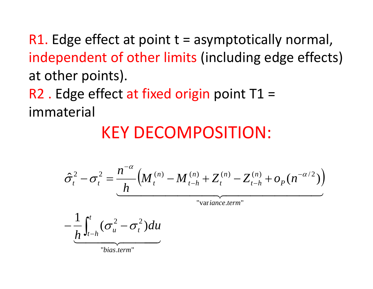R1. Edge effect at point <sup>t</sup> <sup>=</sup> asymptotically normal, independent of other limits (including edge effects) at other points).

R2 . Edge effect at fixed origin point T1 = immaterial

### KEY DECOMPOSITION:

$$
\hat{\sigma}_t^2 - \sigma_t^2 = \frac{n^{-\alpha}}{h} \Big( M_t^{(n)} - M_{t-h}^{(n)} + Z_t^{(n)} - Z_{t-h}^{(n)} + o_p(n^{-\alpha/2}) \Big)
$$
  
- 
$$
\frac{1}{h} \int_{t-h}^t (\sigma_u^2 - \sigma_t^2) du
$$

 $\overbrace{\phantom{aaaaa}}^{14}$ "*bias*.*term*"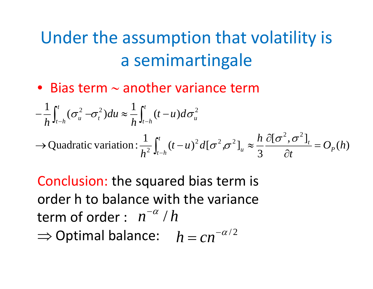### Under the assumption that volatility is a semimartingale

• Bias term <sup>∼</sup> another variance term

$$
-\frac{1}{h}\int_{t-h}^{t}(\sigma_{u}^{2}-\sigma_{t}^{2})du \approx \frac{1}{h}\int_{t-h}^{t}(t-u)d\sigma_{u}^{2}
$$
  
\n
$$
\rightarrow \text{Quadratic variation}: \frac{1}{h^{2}}\int_{t-h}^{t}(t-u)^{2}d[\sigma^{2},\sigma^{2}]_{u} \approx \frac{h}{3}\frac{\partial[\sigma^{2},\sigma^{2}]}{\partial t} = O_{P}(h)
$$

Conclusion: the squared bias term is order h to balance with the variance term of order :  $n^{-\alpha}$  /  $h$  $\Rightarrow$  Optimal balance:  $h = cn^{-\alpha/2}$